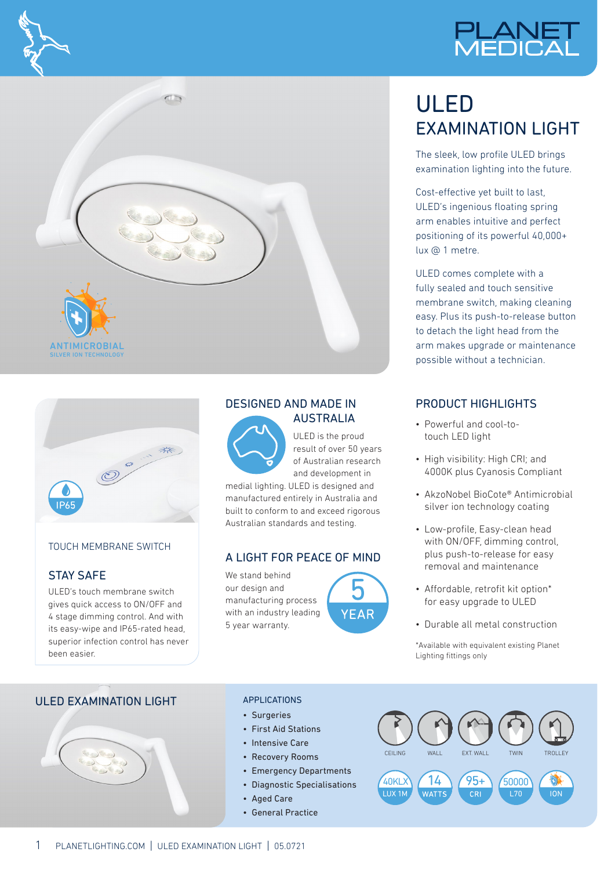







### TOUCH MEMBRANE SWITCH

## STAY SAFE

ULED's touch membrane switch gives quick access to ON/OFF and 4 stage dimming control. And with its easy-wipe and IP65-rated head, superior infection control has never been easier.

## DESIGNED AND MADE IN AUSTRALIA



ULED is the proud result of over 50 years of Australian research and development in

medial lighting. ULED is designed and manufactured entirely in Australia and built to conform to and exceed rigorous Australian standards and testing.

### A LIGHT FOR PEACE OF MIND

We stand behind our design and manufacturing process with an industry leading 5 year warranty.



# ULED EXAMINATION LIGHT

The sleek, low profile ULED brings examination lighting into the future.

Cost-effective yet built to last, ULED's ingenious floating spring arm enables intuitive and perfect positioning of its powerful 40,000+ lux @ 1 metre.

ULED comes complete with a fully sealed and touch sensitive membrane switch, making cleaning easy. Plus its push-to-release button to detach the light head from the arm makes upgrade or maintenance possible without a technician.

# PRODUCT HIGHLIGHTS

- Powerful and cool-totouch LED light
- High visibility: High CRI; and 4000K plus Cyanosis Compliant
- AkzoNobel BioCote® Antimicrobial silver ion technology coating
- Low-profile, Easy-clean head with ON/OFF, dimming control, plus push-to-release for easy removal and maintenance
- Affordable, retrofit kit option\* for easy upgrade to ULED
- Durable all metal construction

\*Available with equivalent existing Planet Lighting fittings only

# ULED EXAMINATION LIGHT



#### APPLICATIONS

- Surgeries
- First Aid Stations
- Intensive Care
- Recovery Rooms
- Emergency Departments
- Diagnostic Specialisations
- Aged Care
- General Practice